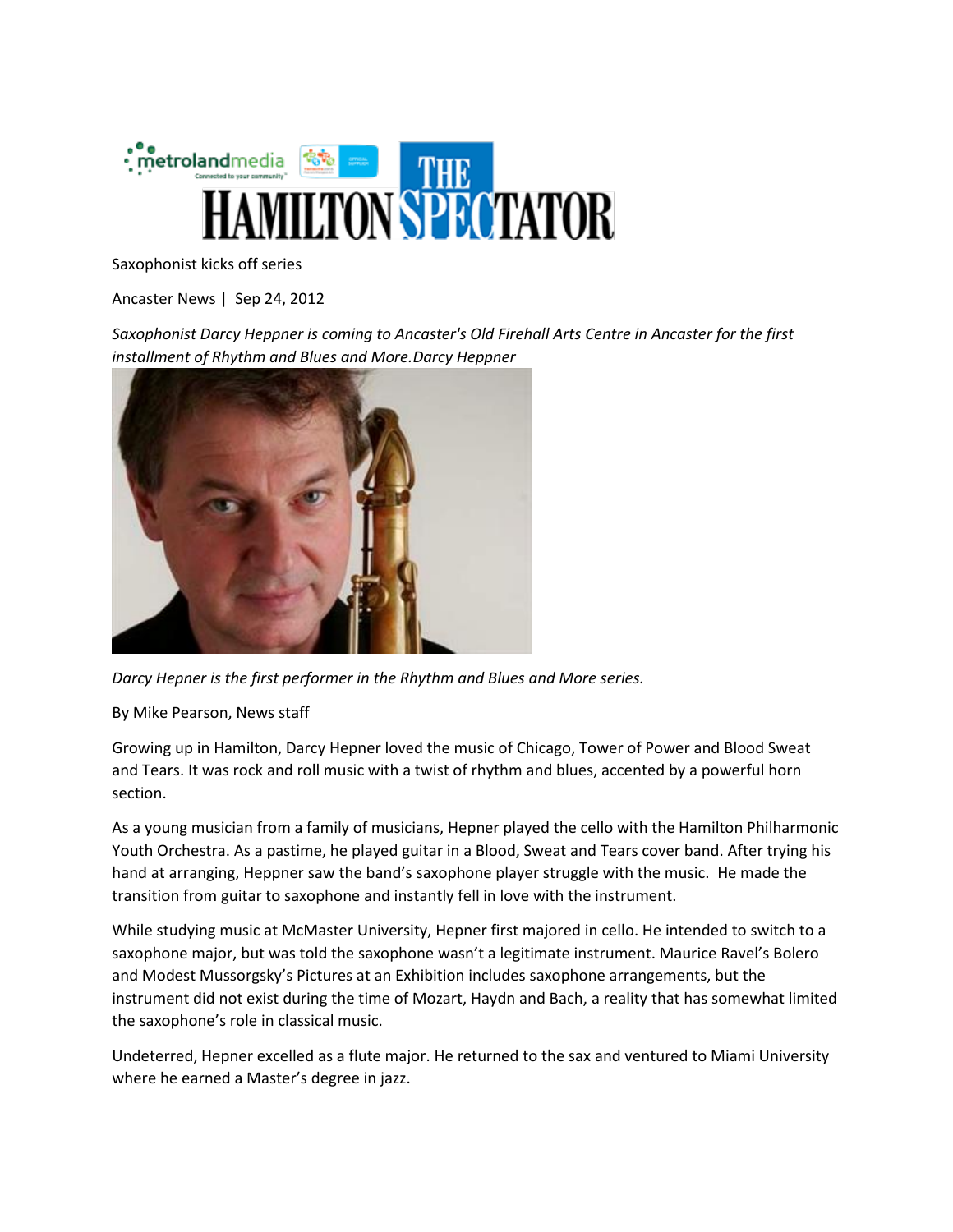

Saxophonist kicks off series

Ancaster News | Sep 24, 2012

*Saxophonist Darcy Heppner is coming to Ancaster's Old Firehall Arts Centre in Ancaster for the first installment of Rhythm and Blues and More.Darcy Heppner*



*Darcy Hepner is the first performer in the Rhythm and Blues and More series.*

By Mike Pearson, News staff

Growing up in Hamilton, Darcy Hepner loved the music of Chicago, Tower of Power and Blood Sweat and Tears. It was rock and roll music with a twist of rhythm and blues, accented by a powerful horn section.

As a young musician from a family of musicians, Hepner played the cello with the Hamilton Philharmonic Youth Orchestra. As a pastime, he played guitar in a Blood, Sweat and Tears cover band. After trying his hand at arranging, Heppner saw the band's saxophone player struggle with the music. He made the transition from guitar to saxophone and instantly fell in love with the instrument.

While studying music at McMaster University, Hepner first majored in cello. He intended to switch to a saxophone major, but was told the saxophone wasn't a legitimate instrument. Maurice Ravel's Bolero and Modest Mussorgsky's Pictures at an Exhibition includes saxophone arrangements, but the instrument did not exist during the time of Mozart, Haydn and Bach, a reality that has somewhat limited the saxophone's role in classical music.

Undeterred, Hepner excelled as a flute major. He returned to the sax and ventured to Miami University where he earned a Master's degree in jazz.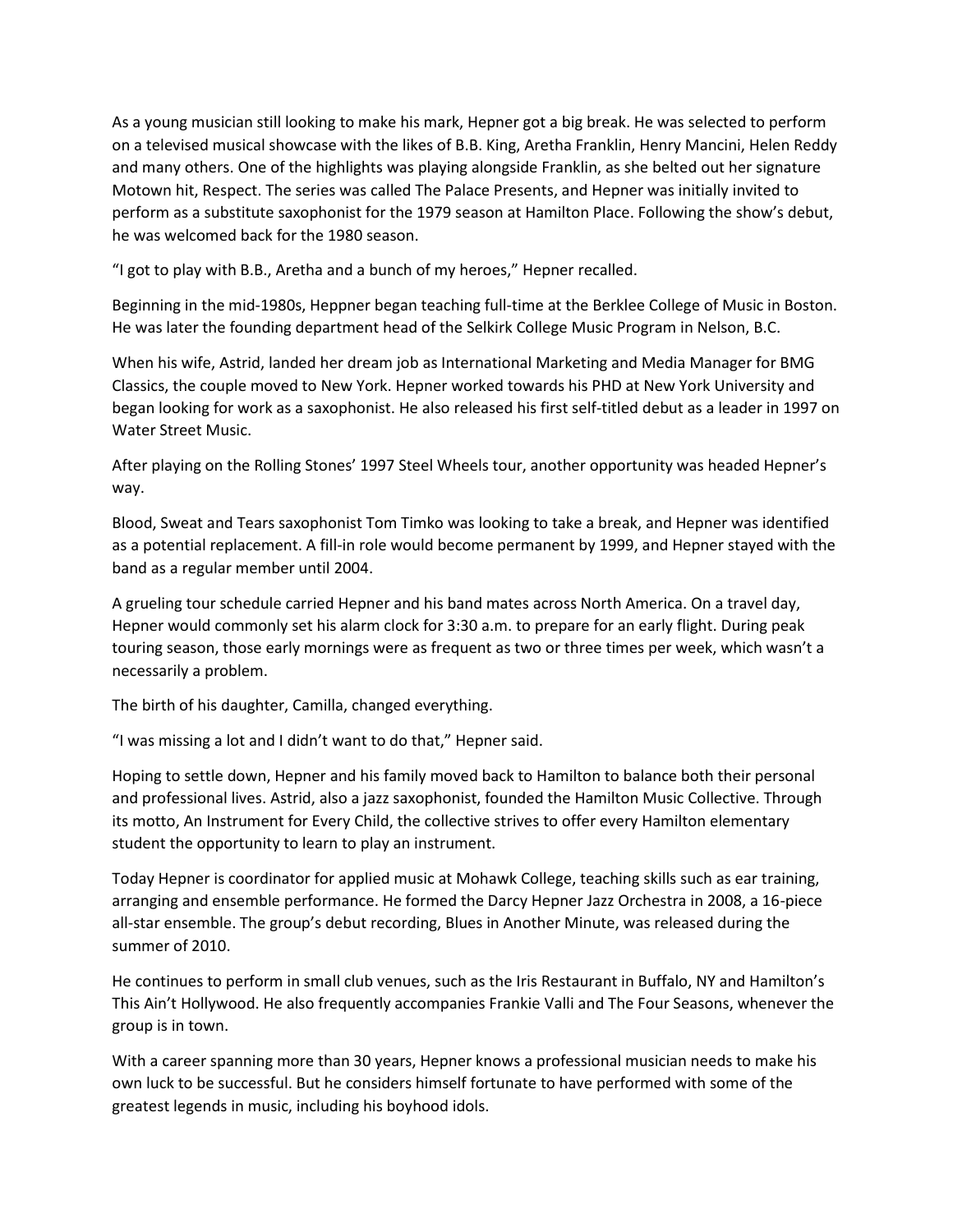As a young musician still looking to make his mark, Hepner got a big break. He was selected to perform on a televised musical showcase with the likes of B.B. King, Aretha Franklin, Henry Mancini, Helen Reddy and many others. One of the highlights was playing alongside Franklin, as she belted out her signature Motown hit, Respect. The series was called The Palace Presents, and Hepner was initially invited to perform as a substitute saxophonist for the 1979 season at Hamilton Place. Following the show's debut, he was welcomed back for the 1980 season.

"I got to play with B.B., Aretha and a bunch of my heroes," Hepner recalled.

Beginning in the mid-1980s, Heppner began teaching full-time at the Berklee College of Music in Boston. He was later the founding department head of the Selkirk College Music Program in Nelson, B.C.

When his wife, Astrid, landed her dream job as International Marketing and Media Manager for BMG Classics, the couple moved to New York. Hepner worked towards his PHD at New York University and began looking for work as a saxophonist. He also released his first self-titled debut as a leader in 1997 on Water Street Music.

After playing on the Rolling Stones' 1997 Steel Wheels tour, another opportunity was headed Hepner's way.

Blood, Sweat and Tears saxophonist Tom Timko was looking to take a break, and Hepner was identified as a potential replacement. A fill-in role would become permanent by 1999, and Hepner stayed with the band as a regular member until 2004.

A grueling tour schedule carried Hepner and his band mates across North America. On a travel day, Hepner would commonly set his alarm clock for 3:30 a.m. to prepare for an early flight. During peak touring season, those early mornings were as frequent as two or three times per week, which wasn't a necessarily a problem.

The birth of his daughter, Camilla, changed everything.

"I was missing a lot and I didn't want to do that," Hepner said.

Hoping to settle down, Hepner and his family moved back to Hamilton to balance both their personal and professional lives. Astrid, also a jazz saxophonist, founded the Hamilton Music Collective. Through its motto, An Instrument for Every Child, the collective strives to offer every Hamilton elementary student the opportunity to learn to play an instrument.

Today Hepner is coordinator for applied music at Mohawk College, teaching skills such as ear training, arranging and ensemble performance. He formed the Darcy Hepner Jazz Orchestra in 2008, a 16-piece all-star ensemble. The group's debut recording, Blues in Another Minute, was released during the summer of 2010.

He continues to perform in small club venues, such as the Iris Restaurant in Buffalo, NY and Hamilton's This Ain't Hollywood. He also frequently accompanies Frankie Valli and The Four Seasons, whenever the group is in town.

With a career spanning more than 30 years, Hepner knows a professional musician needs to make his own luck to be successful. But he considers himself fortunate to have performed with some of the greatest legends in music, including his boyhood idols.